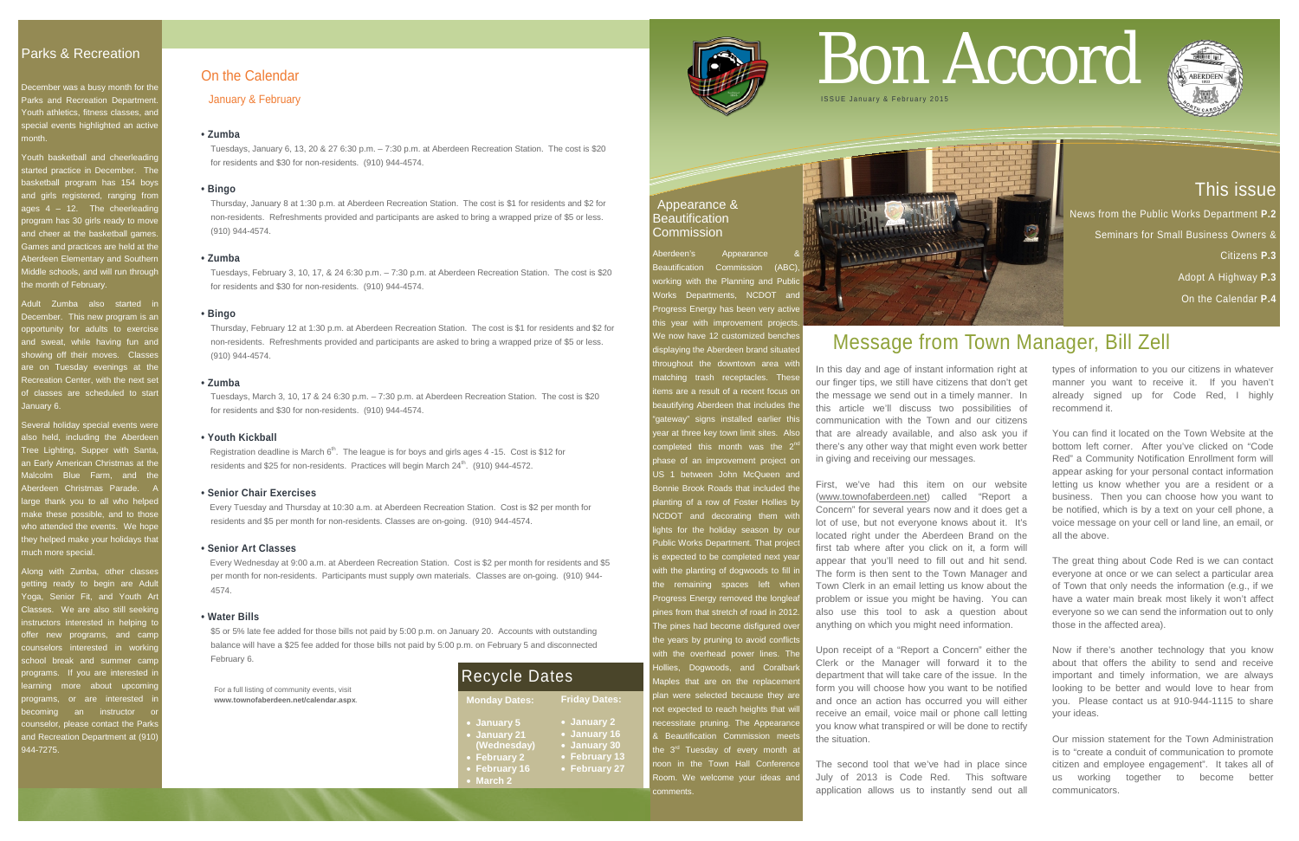# This issue

News from the Public Works Department **P.2** 

Seminars for Small Business Owners &

Citizens **P.3**

Adopt A Highway **P.3**

On the Calendar **P.4**

# Parks & Recreation

December was a busy month for the Parks and Recreation Department Youth athletics, fitness classes, and special events highlighted an active month.

Youth basketball and cheerleadine started practice in December. The basketball program has 154 boys and girls registered, ranging fror ages 4 – 12. The cheerleading program has 30 girls ready to move and cheer at the basketball games **Games and practices are held at the** Aberdeen Elementary and Southerr Middle schools, and will run through the month of February.

Adult Zumba also started December. This new program is an opportunity for adults to exercis and sweat, while having fun and showing off their moves. Classes are on Tuesday evenings at the Recreation Center, with the next set of classes are scheduled to start January 6.

Several holiday special events were llso held, including the Aberdeen Tree Lighting, Supper with Santa, an Early American Christmas at the Malcolm Blue Farm, and the Aberdeen Christmas Parade. large thank you to all who helped nake these possible, and to those who attended the events. We hope hey helped make your holidays that much more special.

Along with Zumba, other classe etting ready to begin are Adult oga, Senior Fit, and Youth Art Classes. We are also still seeking nstructors interested in helping to offer new programs, and cam counselors interested in working school break and summer cam rograms. If you are interested in earning more about upcoming ograms, or are interested ecoming an instructor or counselor, please contact the Park and Recreation Department at (910) 944-7275.

berdeen's Appearance Beautification Commission (ABC) orking with the Planning and Publid Works Departments, NCDOT and Progress Energy has been very active his year with improvement projects ve now have 12 customized benche isplaying the Aberdeen brand situate **Troughout the downtown area with** natching trash receptacles. These ems are a result of a recent focus or beautifying Aberdeen that includes the gateway" signs installed earlier this vear at three key town limit sites. Also completed this month was the  $2<sup>r</sup>$ phase of an improvement project on US 1 between John McQueen and Bonnie Brook Roads that included the planting of a row of Foster Hollies by **NCDOT** and decorating them with lights for the holiday season by our Public Works Department. That project s expected to be completed next year vith the planting of dogwoods to fill in the remaining spaces left wher Progress Energy removed the longlea ines from that stretch of road in 2012 The pines had become disfigured over the years by pruning to avoid conflict vith the overhead power lines. The **Hollies, Dogwoods, and Coralbar** Maples that are on the replacemer blan were selected because they are not expected to reach heights that will necessitate pruning. The Appearance & Beautification Commission meet the  $3<sup>rd</sup>$  Tuesday of every month at noon in the Town Hall Conference Room. We welcome your ideas and comments.



## Appearance & **Beautification** Commission

For a full listing of community events, visit **www.townofaberdeen.net/calendar.aspx**.

| NG 3 |  |
|------|--|
|      |  |

# On the Calendar

January & February

## **• Zumba**

Tuesdays, January 6, 13, 20 & 27 6:30 p.m. – 7:30 p.m. at Aberdeen Recreation Station. The cost is \$20 for residents and \$30 for non-residents. (910) 944-4574.

## **• Bingo**

Thursday, January 8 at 1:30 p.m. at Aberdeen Recreation Station. The cost is \$1 for residents and \$2 for non-residents. Refreshments provided and participants are asked to bring a wrapped prize of \$5 or less. (910) 944-4574.

## **• Zumba**

Tuesdays, February 3, 10, 17, & 24 6:30 p.m. – 7:30 p.m. at Aberdeen Recreation Station. The cost is \$20 for residents and \$30 for non-residents. (910) 944-4574.

## **• Bingo**

Thursday, February 12 at 1:30 p.m. at Aberdeen Recreation Station. The cost is \$1 for residents and \$2 for non-residents. Refreshments provided and participants are asked to bring a wrapped prize of \$5 or less. (910) 944-4574.

## **• Zumba**

Tuesdays, March 3, 10, 17 & 24 6:30 p.m. – 7:30 p.m. at Aberdeen Recreation Station. The cost is \$20 for residents and \$30 for non-residents. (910) 944-4574.

## **• Youth Kickball**

Registration deadline is March  $6<sup>th</sup>$ . The league is for boys and girls ages 4-15. Cost is \$12 for residents and \$25 for non-residents. Practices will begin March  $24<sup>th</sup>$ . (910) 944-4572.

## **• Senior Chair Exercises**

Every Tuesday and Thursday at 10:30 a.m. at Aberdeen Recreation Station. Cost is \$2 per month for residents and \$5 per month for non-residents. Classes are on-going. (910) 944-4574.

## **• Senior Art Classes**

 Every Wednesday at 9:00 a.m. at Aberdeen Recreation Station. Cost is \$2 per month for residents and \$5 per month for non-residents. Participants must supply own materials. Classes are on-going. (910) 944- 4574.

## **• Water Bills**

\$5 or 5% late fee added for those bills not paid by 5:00 p.m. on January 20. Accounts with outstanding balance will have a \$25 fee added for those bills not paid by 5:00 p.m. on February 5 and disconnected February 6.

# Bon Accord



# Message from Town Manager, Bill Zell

In this day and age of instant information right at our finger tips, we still have citizens that don't get the message we send out in a timely manner. In this article we'll discuss two possibilities of communication with the Town and our citizens that are already available, and also ask you if there's any other way that might even work better in giving and receiving our messages.

First, we've had this item on our website [\(www.townofaberdeen.net\)](http://www.townofaberdeen.net/) called "Report a Concern" for several years now and it does get a lot of use, but not everyone knows about it. It's located right under the Aberdeen Brand on the first tab where after you click on it, a form will appear that you'll need to fill out and hit send. The form is then sent to the Town Manager and Town Clerk in an email letting us know about the problem or issue you might be having. You can also use this tool to ask a question about anything on which you might need information.

Upon receipt of a "Report a Concern" either the Clerk or the Manager will forward it to the department that will take care of the issue. In the form you will choose how you want to be notified and once an action has occurred you will either receive an email, voice mail or phone call letting you know what transpired or will be done to rectify the situation.

The second tool that we've had in place since July of 2013 is Code Red. This software application allows us to instantly send out all

types of information to you our citizens in whatever manner you want to receive it. If you haven't already signed up for Code Red, I highly recommend it.

You can find it located on the Town Website at the bottom left corner. After you've clicked on "Code Red" a Community Notification Enrollment form will appear asking for your personal contact information letting us know whether you are a resident or a business. Then you can choose how you want to be notified, which is by a text on your cell phone, a voice message on your cell or land line, an email, or all the above.

The great thing about Code Red is we can contact everyone at once or we can select a particular area of Town that only needs the information (e.g., if we have a water main break most likely it won't affect everyone so we can send the information out to only those in the affected area).

Now if there's another technology that you know about that offers the ability to send and receive important and timely information, we are always looking to be better and would love to hear from you. Please contact us at 910-944-1115 to share your ideas.

Our mission statement for the Town Administration is to "create a conduit of communication to promote citizen and employee engagement". It takes all of us working together to become better communicators.



**Monday Dates:**

• **January 5** • **January 21 (Wednesday)** • **February 2** • **February 16** • **March 2**

**Friday Dates:**

• **January 2** • **January 16** • **January 30** • **February 13** • **February 27**

Recycle Dates